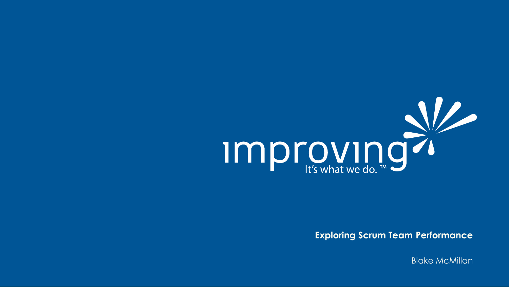

**Exploring Scrum Team Performance**

Blake McMillan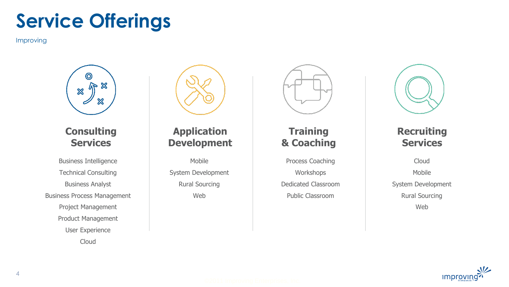# **Service Offerings**

Improving



#### **Consulting Services**

Business Intelligence Technical Consulting Business Analyst Business Process Management Project Management Product Management User Experience

Cloud



#### **Application Development**

Mobile System Development Rural Sourcing Web



#### **Training & Coaching**

Process Coaching Workshops Dedicated Classroom Public Classroom



#### **Recruiting Services**

Cloud Mobile System Development Rural Sourcing Web

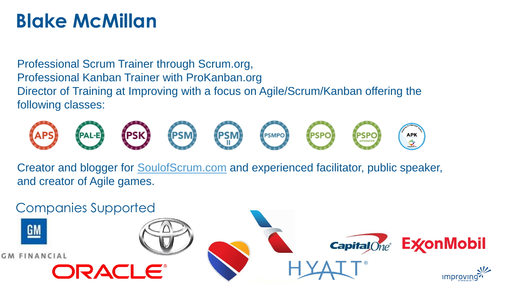# **Blake McMillan**

Professional Scrum Trainer through Scrum.org, Professional Kanban Trainer with ProKanban.org Director of Training at Improving with a focus on Agile/Scrum/Kanban offering the following classes:



Creator and blogger for [SoulofScrum.com](http://soulofscrum.com/) and experienced facilitator, public speaker, and creator of Agile games.

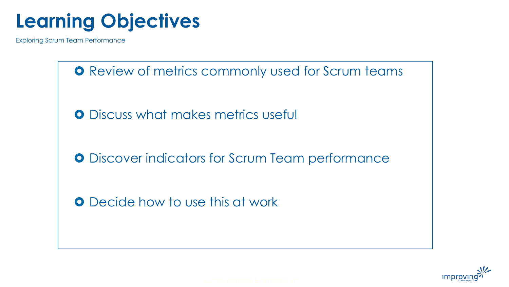# **Learning Objectives**

Exploring Scrum Team Performance

**O** Review of metrics commonly used for Scrum teams **O** Discuss what makes metrics useful **O** Discover indicators for Scrum Team performance **O** Decide how to use this at work

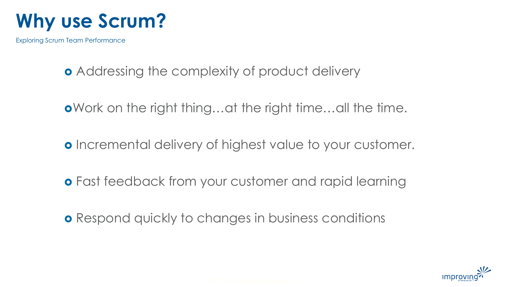

- **•** Addressing the complexity of product delivery
- Work on the right thing…at the right time…all the time.
- **o** Incremental delivery of highest value to your customer.
- **o** Fast feedback from your customer and rapid learning
- **o** Respond quickly to changes in business conditions

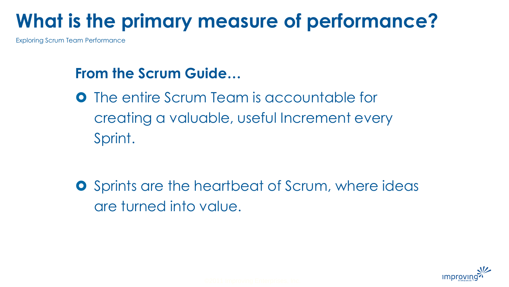# **What is the primary measure of performance?**

Exploring Scrum Team Performance

## **From the Scrum Guide…**

**O** The entire Scrum Team is accountable for creating a valuable, useful Increment every Sprint.

**O** Sprints are the heartbeat of Scrum, where ideas are turned into value.

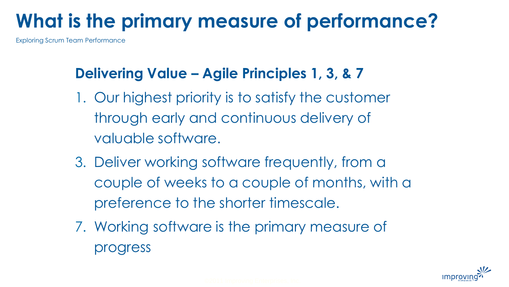# **What is the primary measure of performance?**

Exploring Scrum Team Performance

## **Delivering Value – Agile Principles 1, 3, & 7**

- 1. Our highest priority is to satisfy the customer through early and continuous delivery of valuable software.
- 3. Deliver working software frequently, from a couple of weeks to a couple of months, with a preference to the shorter timescale.
- 7. Working software is the primary measure of progress

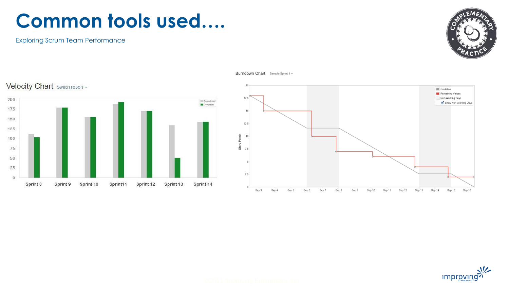# **Common tools used….**

Exploring Scrum Team Performance





Burndown Chart Sample Sprint 1 v



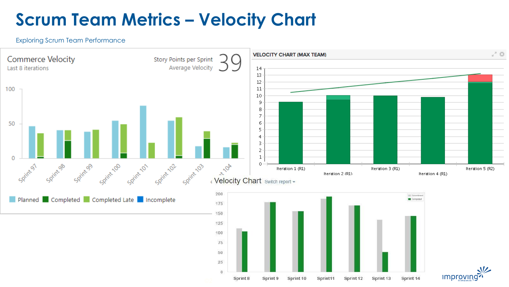## **Scrum Team Metrics – Velocity Chart**

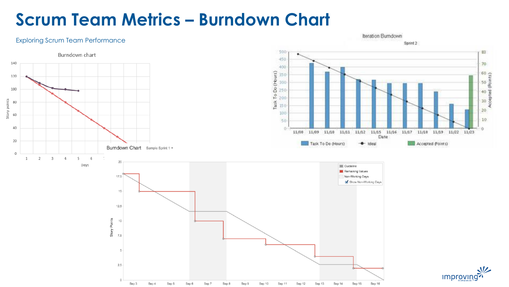## **Scrum Team Metrics – Burndown Chart**

#### Exploring Scrum Team Performance



Iteration Burndown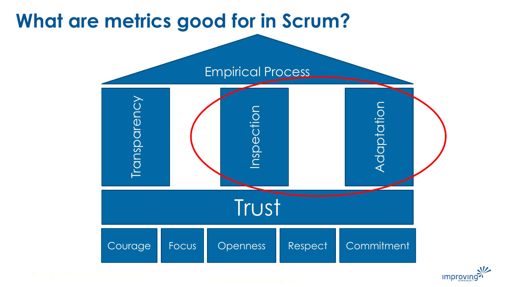# **What are metrics good for in Scrum?**

![](_page_10_Figure_1.jpeg)

![](_page_10_Picture_2.jpeg)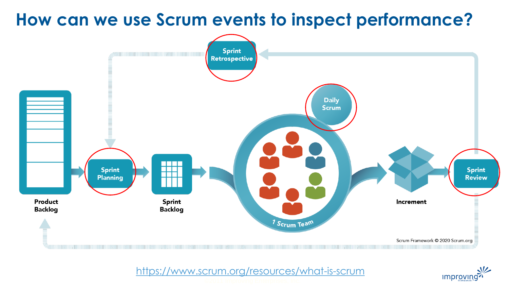## **How can we use Scrum events to inspect performance?**

![](_page_11_Figure_1.jpeg)

<https://www.scrum.org/resources/what-is-scrum>

![](_page_11_Picture_3.jpeg)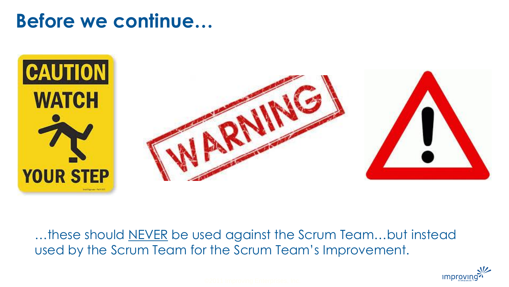# **Before we continue…**

![](_page_12_Picture_1.jpeg)

...these should NEVER be used against the Scrum Team...but instead used by the Scrum Team for the Scrum Team's Improvement.

![](_page_12_Picture_3.jpeg)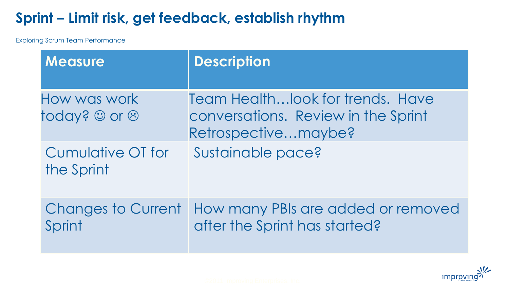## **Sprint – Limit risk, get feedback, establish rhythm**

| <b>Measure</b>                      | <b>Description</b>                                                                              |
|-------------------------------------|-------------------------------------------------------------------------------------------------|
| How was work<br>today? © or &       | Team Health look for trends. Have<br>conversations. Review in the Sprint<br>Retrospectivemaybe? |
| Cumulative OT for<br>the Sprint     | Sustainable pace?                                                                               |
| <b>Changes to Current</b><br>Sprint | How many PBIs are added or removed<br>after the Sprint has started?                             |

![](_page_13_Picture_3.jpeg)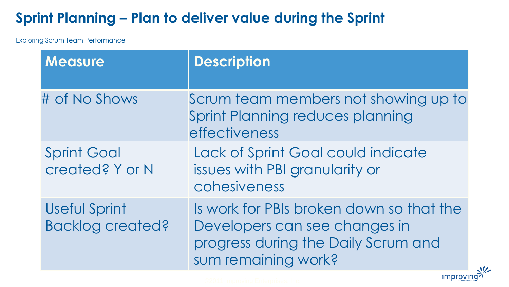## **Sprint Planning – Plan to deliver value during the Sprint**

Exploring Scrum Team Performance

| <b>Measure</b>                           | <b>Description</b>                                                                                                                      |
|------------------------------------------|-----------------------------------------------------------------------------------------------------------------------------------------|
| # of No Shows                            | Scrum team members not showing up to<br>Sprint Planning reduces planning<br>effectiveness                                               |
| <b>Sprint Goal</b><br>created? Y or N    | Lack of Sprint Goal could indicate<br>issues with PBI granularity or<br>cohesiveness                                                    |
| Useful Sprint<br><b>Backlog created?</b> | Is work for PBIs broken down so that the<br>Developers can see changes in<br>progress during the Daily Scrum and<br>sum remaining work? |

improving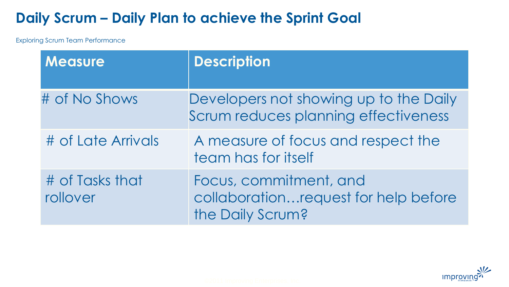## **Daily Scrum – Daily Plan to achieve the Sprint Goal**

| <b>Measure</b>              | <b>Description</b>                                                                 |
|-----------------------------|------------------------------------------------------------------------------------|
| # of No Shows               | Developers not showing up to the Daily<br>Scrum reduces planning effectiveness     |
| # of Late Arrivals          | A measure of focus and respect the<br>team has for itself                          |
| # of Tasks that<br>rollover | Focus, commitment, and<br>collaborationrequest for help before<br>the Daily Scrum? |

![](_page_15_Picture_3.jpeg)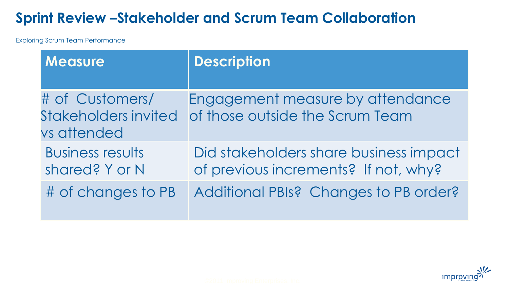### **Sprint Review –Stakeholder and Scrum Team Collaboration**

| <b>Measure</b>                                                | <b>Description</b>                                                             |
|---------------------------------------------------------------|--------------------------------------------------------------------------------|
| # of Customers/<br><b>Stakeholders invited</b><br>vs attended | Engagement measure by attendance<br>of those outside the Scrum Team            |
| <b>Business results</b><br>shared? Y or N                     | Did stakeholders share business impact<br>of previous increments? If not, why? |
| # of changes to PB                                            | Additional PBIs? Changes to PB order?                                          |

![](_page_16_Picture_3.jpeg)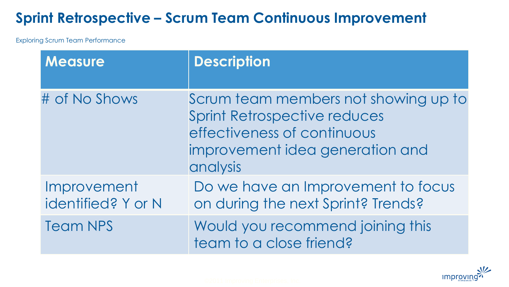## **Sprint Retrospective – Scrum Team Continuous Improvement**

| <b>Measure</b>                    | <b>Description</b>                                                                                                                                        |
|-----------------------------------|-----------------------------------------------------------------------------------------------------------------------------------------------------------|
| # of No Shows                     | Scrum team members not showing up to<br><b>Sprint Retrospective reduces</b><br>effectiveness of continuous<br>improvement idea generation and<br>analysis |
| Improvement<br>identified? Y or N | Do we have an Improvement to focus<br>on during the next Sprint? Trends?                                                                                  |
| <b>Team NPS</b>                   | Would you recommend joining this<br>team to a close friend?                                                                                               |

![](_page_17_Picture_3.jpeg)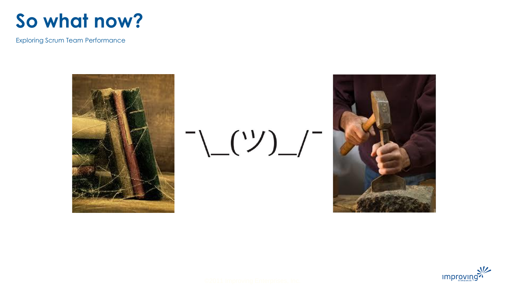![](_page_18_Picture_0.jpeg)

![](_page_18_Picture_2.jpeg)

![](_page_18_Picture_3.jpeg)

![](_page_18_Picture_4.jpeg)

![](_page_18_Picture_5.jpeg)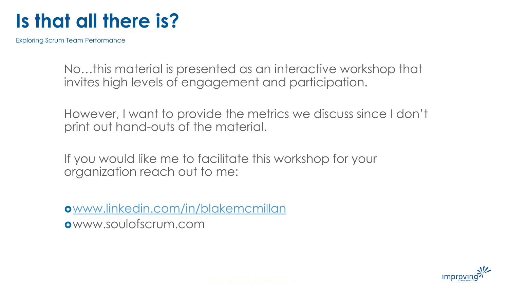# **Is that all there is?**

Exploring Scrum Team Performance

No…this material is presented as an interactive workshop that invites high levels of engagement and participation.

However, I want to provide the metrics we discuss since I don't print out hand-outs of the material.

If you would like me to facilitate this workshop for your organization reach out to me:

[www.linkedin.com/in/blakemcmillan](http://www.linkedin.com/in/blakemcmillan) www.soulofscrum.com

![](_page_19_Picture_6.jpeg)